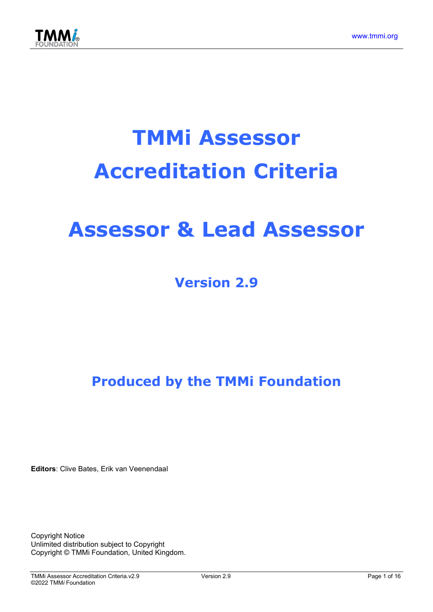

# TMMi Assessor Accreditation Criteria

# Assessor & Lead Assessor

# Version 2.9

Produced by the TMMi Foundation

Editors: Clive Bates, Erik van Veenendaal

Copyright Notice Unlimited distribution subject to Copyright Copyright © TMMi Foundation, United Kingdom.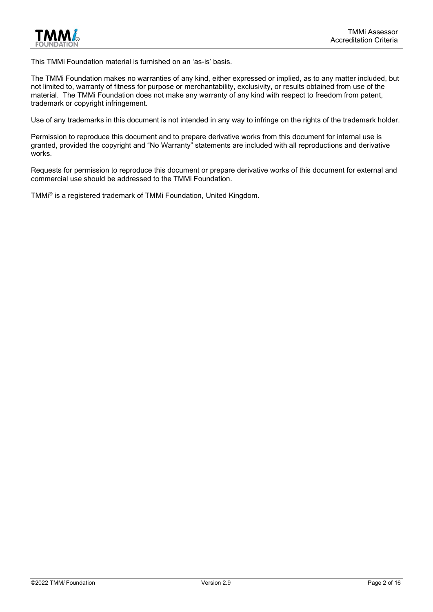

This TMMi Foundation material is furnished on an 'as-is' basis.

The TMMi Foundation makes no warranties of any kind, either expressed or implied, as to any matter included, but not limited to, warranty of fitness for purpose or merchantability, exclusivity, or results obtained from use of the material. The TMMi Foundation does not make any warranty of any kind with respect to freedom from patent, trademark or copyright infringement.

Use of any trademarks in this document is not intended in any way to infringe on the rights of the trademark holder.

Permission to reproduce this document and to prepare derivative works from this document for internal use is granted, provided the copyright and "No Warranty" statements are included with all reproductions and derivative works.

Requests for permission to reproduce this document or prepare derivative works of this document for external and commercial use should be addressed to the TMMi Foundation.

TMMi® is a registered trademark of TMMi Foundation, United Kingdom.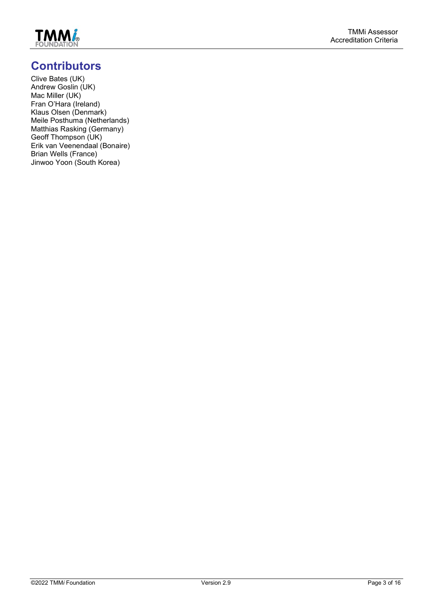

# **Contributors**

Clive Bates (UK) Andrew Goslin (UK) Mac Miller (UK) Fran O'Hara (Ireland) Klaus Olsen (Denmark) Meile Posthuma (Netherlands) Matthias Rasking (Germany) Geoff Thompson (UK) Erik van Veenendaal (Bonaire) Brian Wells (France) Jinwoo Yoon (South Korea)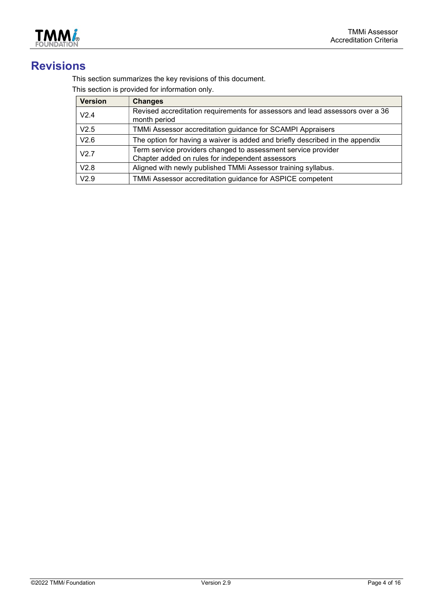

# Revisions

This section summarizes the key revisions of this document.

This section is provided for information only.

| <b>Version</b> | <b>Changes</b>                                                                                                    |
|----------------|-------------------------------------------------------------------------------------------------------------------|
| V2.4           | Revised accreditation requirements for assessors and lead assessors over a 36<br>month period                     |
| V2.5           | TMMi Assessor accreditation guidance for SCAMPI Appraisers                                                        |
| V2.6           | The option for having a waiver is added and briefly described in the appendix                                     |
| V2.7           | Term service providers changed to assessment service provider<br>Chapter added on rules for independent assessors |
| V2.8           | Aligned with newly published TMMi Assessor training syllabus.                                                     |
| V2.9           | TMMi Assessor accreditation guidance for ASPICE competent                                                         |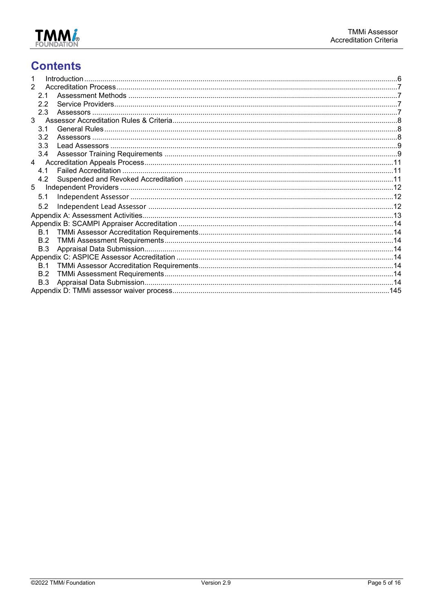

# **Contents**

| 2              |  |
|----------------|--|
| 2.1            |  |
| 2.2            |  |
| 2.3            |  |
| $\mathcal{R}$  |  |
| 3.1            |  |
| 3.2            |  |
| 3.3            |  |
| 3.4            |  |
| $\overline{4}$ |  |
| 4.1            |  |
| 4.2            |  |
| 5              |  |
| 5.1            |  |
| 5.2            |  |
|                |  |
|                |  |
| B.1            |  |
| B.2            |  |
| B.3            |  |
|                |  |
| <b>B</b> 1     |  |
| B.2            |  |
| B.3            |  |
|                |  |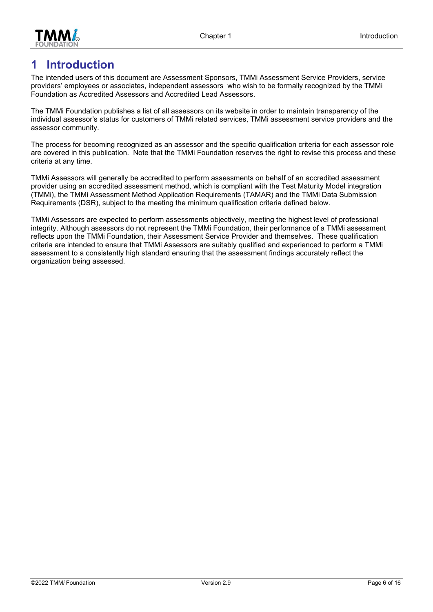



# 1 Introduction

The intended users of this document are Assessment Sponsors, TMMi Assessment Service Providers, service providers' employees or associates, independent assessors who wish to be formally recognized by the TMMi Foundation as Accredited Assessors and Accredited Lead Assessors.

The TMMi Foundation publishes a list of all assessors on its website in order to maintain transparency of the individual assessor's status for customers of TMMi related services, TMMi assessment service providers and the assessor community.

The process for becoming recognized as an assessor and the specific qualification criteria for each assessor role are covered in this publication. Note that the TMMi Foundation reserves the right to revise this process and these criteria at any time.

TMMi Assessors will generally be accredited to perform assessments on behalf of an accredited assessment provider using an accredited assessment method, which is compliant with the Test Maturity Model integration (TMMi), the TMMi Assessment Method Application Requirements (TAMAR) and the TMMi Data Submission Requirements (DSR), subject to the meeting the minimum qualification criteria defined below.

TMMi Assessors are expected to perform assessments objectively, meeting the highest level of professional integrity. Although assessors do not represent the TMMi Foundation, their performance of a TMMi assessment reflects upon the TMMi Foundation, their Assessment Service Provider and themselves. These qualification criteria are intended to ensure that TMMi Assessors are suitably qualified and experienced to perform a TMMi assessment to a consistently high standard ensuring that the assessment findings accurately reflect the organization being assessed.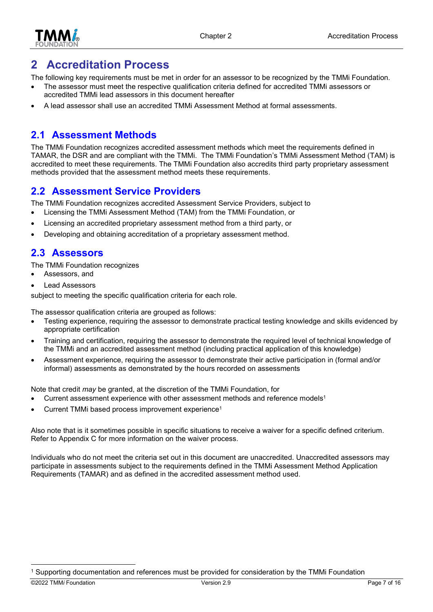

# 2 Accreditation Process

The following key requirements must be met in order for an assessor to be recognized by the TMMi Foundation.

- The assessor must meet the respective qualification criteria defined for accredited TMMi assessors or accredited TMMi lead assessors in this document hereafter
- A lead assessor shall use an accredited TMMi Assessment Method at formal assessments.

## 2.1 Assessment Methods

The TMMi Foundation recognizes accredited assessment methods which meet the requirements defined in TAMAR, the DSR and are compliant with the TMMi. The TMMi Foundation's TMMi Assessment Method (TAM) is accredited to meet these requirements. The TMMi Foundation also accredits third party proprietary assessment methods provided that the assessment method meets these requirements.

# 2.2 Assessment Service Providers

The TMMi Foundation recognizes accredited Assessment Service Providers, subject to

- Licensing the TMMi Assessment Method (TAM) from the TMMi Foundation, or
- Licensing an accredited proprietary assessment method from a third party, or
- Developing and obtaining accreditation of a proprietary assessment method.

### 2.3 Assessors

The TMMi Foundation recognizes

- Assessors, and
- Lead Assessors

subject to meeting the specific qualification criteria for each role.

The assessor qualification criteria are grouped as follows:

- Testing experience, requiring the assessor to demonstrate practical testing knowledge and skills evidenced by appropriate certification
- Training and certification, requiring the assessor to demonstrate the required level of technical knowledge of the TMMi and an accredited assessment method (including practical application of this knowledge)
- Assessment experience, requiring the assessor to demonstrate their active participation in (formal and/or informal) assessments as demonstrated by the hours recorded on assessments

Note that credit may be granted, at the discretion of the TMMi Foundation, for

- Current assessment experience with other assessment methods and reference models<sup>1</sup>
- Current TMMi based process improvement experience<sup>1</sup>

Also note that is it sometimes possible in specific situations to receive a waiver for a specific defined criterium. Refer to Appendix C for more information on the waiver process.

Individuals who do not meet the criteria set out in this document are unaccredited. Unaccredited assessors may participate in assessments subject to the requirements defined in the TMMi Assessment Method Application Requirements (TAMAR) and as defined in the accredited assessment method used.

<sup>1</sup> Supporting documentation and references must be provided for consideration by the TMMi Foundation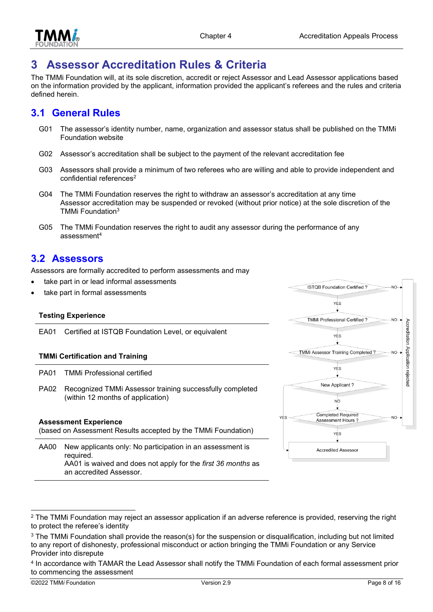

# 3 Assessor Accreditation Rules & Criteria

The TMMi Foundation will, at its sole discretion, accredit or reject Assessor and Lead Assessor applications based on the information provided by the applicant, information provided the applicant's referees and the rules and criteria defined herein.

#### 3.1 General Rules

- G01 The assessor's identity number, name, organization and assessor status shall be published on the TMMi Foundation website
- G02 Assessor's accreditation shall be subject to the payment of the relevant accreditation fee
- G03 Assessors shall provide a minimum of two referees who are willing and able to provide independent and confidential references<sup>2</sup>
- G04 The TMMi Foundation reserves the right to withdraw an assessor's accreditation at any time Assessor accreditation may be suspended or revoked (without prior notice) at the sole discretion of the TMMi Foundation<sup>3</sup>
- G05 The TMMi Foundation reserves the right to audit any assessor during the performance of any assessment<sup>4</sup>

#### 3.2 Assessors

Assessors are formally accredited to perform assessments and may

- take part in or lead informal assessments
- take part in formal assessments

#### Testing Experience

EA01 Certified at ISTQB Foundation Level, or equivalent

#### TMMi Certification and Training

an accredited Assessor.

|                                                                                               | PA01 TMMi Professional certified                                                                                                       |  |
|-----------------------------------------------------------------------------------------------|----------------------------------------------------------------------------------------------------------------------------------------|--|
| PA02                                                                                          | Recognized TMMi Assessor training successfully completed<br>(within 12 months of application)                                          |  |
| <b>Assessment Experience</b><br>(based on Assessment Results accepted by the TMMi Foundation) |                                                                                                                                        |  |
| AA00                                                                                          | New applicants only: No participation in an assessment is<br>required.<br>AA01 is waived and does not apply for the first 36 months as |  |

**ISTOB Foundation Certified?**  $N<sub>O</sub>$ **VES TMMi Professional Certified?**  $N<sub>O</sub>$ Accreditation Application rejected **YES** TMMi Assessor Training Completed? **YES** New Applicant? NO **Completed Required YFS** Assessment Hours' YES **Accredited Assessor** 

 $^2$  The TMMi Foundation may reject an assessor application if an adverse reference is provided, reserving the right to protect the referee's identity

 $^3$  The TMMi Foundation shall provide the reason(s) for the suspension or disqualification, including but not limited to any report of dishonesty, professional misconduct or action bringing the TMMi Foundation or any Service Provider into disrepute

<sup>4</sup> In accordance with TAMAR the Lead Assessor shall notify the TMMi Foundation of each formal assessment prior to commencing the assessment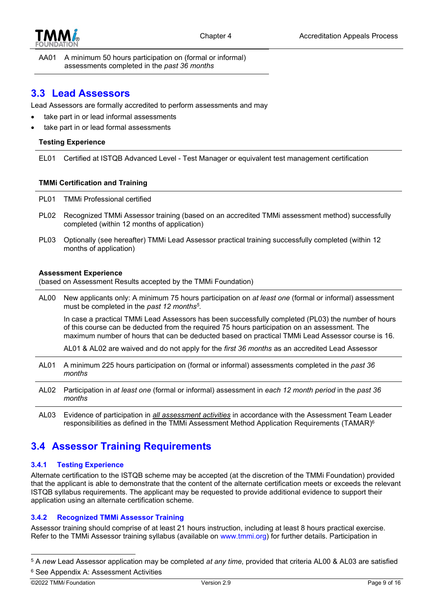

AA01 A minimum 50 hours participation on (formal or informal) assessments completed in the past 36 months

#### 3.3 Lead Assessors

Lead Assessors are formally accredited to perform assessments and may

- take part in or lead informal assessments
- take part in or lead formal assessments

#### Testing Experience

EL01 Certified at ISTQB Advanced Level - Test Manager or equivalent test management certification

#### TMMi Certification and Training

PL01 TMMi Professional certified

- PL02 Recognized TMMi Assessor training (based on an accredited TMMi assessment method) successfully completed (within 12 months of application)
- PL03 Optionally (see hereafter) TMMi Lead Assessor practical training successfully completed (within 12 months of application)

#### Assessment Experience

(based on Assessment Results accepted by the TMMi Foundation)

AL00 New applicants only: A minimum 75 hours participation on at least one (formal or informal) assessment must be completed in the past 12 months<sup>5</sup>.

In case a practical TMMi Lead Assessors has been successfully completed (PL03) the number of hours of this course can be deducted from the required 75 hours participation on an assessment. The maximum number of hours that can be deducted based on practical TMMi Lead Assessor course is 16.

AL01 & AL02 are waived and do not apply for the first 36 months as an accredited Lead Assessor

- AL01 A minimum 225 hours participation on (formal or informal) assessments completed in the past 36 months
- AL02 Participation in at least one (formal or informal) assessment in each 12 month period in the past 36 months
- AL03 Evidence of participation in all assessment activities in accordance with the Assessment Team Leader responsibilities as defined in the TMMi Assessment Method Application Requirements (TAMAR)<sup>6</sup>

### 3.4 Assessor Training Requirements

#### 3.4.1 Testing Experience

Alternate certification to the ISTQB scheme may be accepted (at the discretion of the TMMi Foundation) provided that the applicant is able to demonstrate that the content of the alternate certification meets or exceeds the relevant ISTQB syllabus requirements. The applicant may be requested to provide additional evidence to support their application using an alternate certification scheme.

#### 3.4.2 Recognized TMMi Assessor Training

Assessor training should comprise of at least 21 hours instruction, including at least 8 hours practical exercise. Refer to the TMMi Assessor training syllabus (available on www.tmmi.org) for further details. Participation in

 $5$  A new Lead Assessor application may be completed at any time, provided that criteria AL00 & AL03 are satisfied 6 See Appendix A: Assessment Activities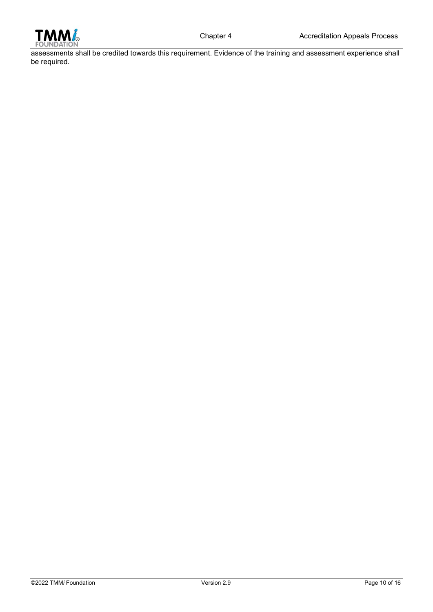

assessments shall be credited towards this requirement. Evidence of the training and assessment experience shall be required.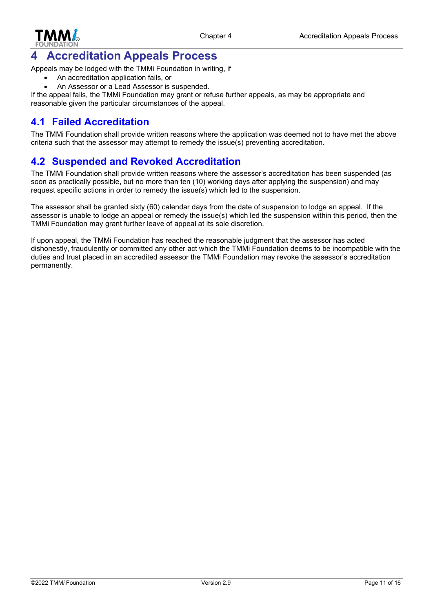

# 4 Accreditation Appeals Process

Appeals may be lodged with the TMMi Foundation in writing, if

- An accreditation application fails, or
- An Assessor or a Lead Assessor is suspended.

If the appeal fails, the TMMi Foundation may grant or refuse further appeals, as may be appropriate and reasonable given the particular circumstances of the appeal.

#### 4.1 Failed Accreditation

The TMMi Foundation shall provide written reasons where the application was deemed not to have met the above criteria such that the assessor may attempt to remedy the issue(s) preventing accreditation.

#### 4.2 Suspended and Revoked Accreditation

The TMMi Foundation shall provide written reasons where the assessor's accreditation has been suspended (as soon as practically possible, but no more than ten (10) working days after applying the suspension) and may request specific actions in order to remedy the issue(s) which led to the suspension.

The assessor shall be granted sixty (60) calendar days from the date of suspension to lodge an appeal. If the assessor is unable to lodge an appeal or remedy the issue(s) which led the suspension within this period, then the TMMi Foundation may grant further leave of appeal at its sole discretion.

If upon appeal, the TMMi Foundation has reached the reasonable judgment that the assessor has acted dishonestly, fraudulently or committed any other act which the TMMi Foundation deems to be incompatible with the duties and trust placed in an accredited assessor the TMMi Foundation may revoke the assessor's accreditation permanently.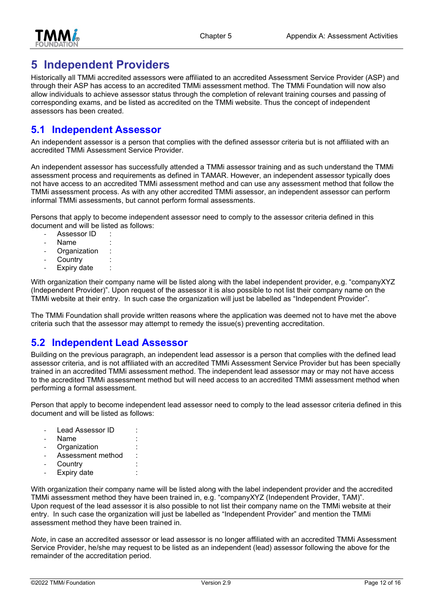

# 5 Independent Providers

Historically all TMMi accredited assessors were affiliated to an accredited Assessment Service Provider (ASP) and through their ASP has access to an accredited TMMi assessment method. The TMMi Foundation will now also allow individuals to achieve assessor status through the completion of relevant training courses and passing of corresponding exams, and be listed as accredited on the TMMi website. Thus the concept of independent assessors has been created.

#### 5.1 Independent Assessor

An independent assessor is a person that complies with the defined assessor criteria but is not affiliated with an accredited TMMi Assessment Service Provider.

An independent assessor has successfully attended a TMMi assessor training and as such understand the TMMi assessment process and requirements as defined in TAMAR. However, an independent assessor typically does not have access to an accredited TMMi assessment method and can use any assessment method that follow the TMMi assessment process. As with any other accredited TMMi assessor, an independent assessor can perform informal TMMi assessments, but cannot perform formal assessments.

Persons that apply to become independent assessor need to comply to the assessor criteria defined in this document and will be listed as follows:

- Assessor ID
- Name
- **Organization**
- **Country**
- Expiry date

With organization their company name will be listed along with the label independent provider, e.g. "companyXYZ (Independent Provider)". Upon request of the assessor it is also possible to not list their company name on the TMMi website at their entry. In such case the organization will just be labelled as "Independent Provider".

The TMMi Foundation shall provide written reasons where the application was deemed not to have met the above criteria such that the assessor may attempt to remedy the issue(s) preventing accreditation.

#### 5.2 Independent Lead Assessor

Building on the previous paragraph, an independent lead assessor is a person that complies with the defined lead assessor criteria, and is not affiliated with an accredited TMMi Assessment Service Provider but has been specially trained in an accredited TMMi assessment method. The independent lead assessor may or may not have access to the accredited TMMi assessment method but will need access to an accredited TMMi assessment method when performing a formal assessment.

Person that apply to become independent lead assessor need to comply to the lead assessor criteria defined in this document and will be listed as follows:

- Lead Assessor ID :
- Name
- Organization
- Assessment method
- **Country**
- Expiry date

With organization their company name will be listed along with the label independent provider and the accredited TMMi assessment method they have been trained in, e.g. "companyXYZ (Independent Provider, TAM)". Upon request of the lead assessor it is also possible to not list their company name on the TMMi website at their entry. In such case the organization will just be labelled as "Independent Provider" and mention the TMMi assessment method they have been trained in.

Note, in case an accredited assessor or lead assessor is no longer affiliated with an accredited TMMi Assessment Service Provider, he/she may request to be listed as an independent (lead) assessor following the above for the remainder of the accreditation period.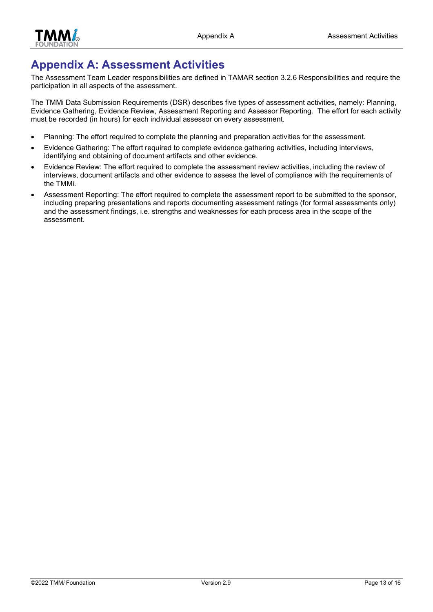

# Appendix A: Assessment Activities

The Assessment Team Leader responsibilities are defined in TAMAR section 3.2.6 Responsibilities and require the participation in all aspects of the assessment.

The TMMi Data Submission Requirements (DSR) describes five types of assessment activities, namely: Planning, Evidence Gathering, Evidence Review, Assessment Reporting and Assessor Reporting. The effort for each activity must be recorded (in hours) for each individual assessor on every assessment.

- Planning: The effort required to complete the planning and preparation activities for the assessment.
- Evidence Gathering: The effort required to complete evidence gathering activities, including interviews, identifying and obtaining of document artifacts and other evidence.
- Evidence Review: The effort required to complete the assessment review activities, including the review of interviews, document artifacts and other evidence to assess the level of compliance with the requirements of the TMMi.
- Assessment Reporting: The effort required to complete the assessment report to be submitted to the sponsor, including preparing presentations and reports documenting assessment ratings (for formal assessments only) and the assessment findings, i.e. strengths and weaknesses for each process area in the scope of the assessment.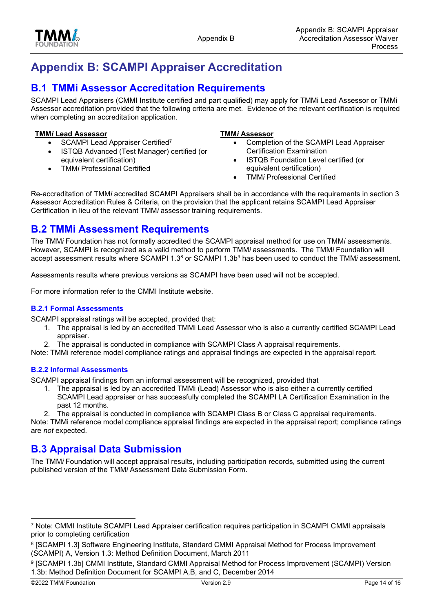



# Appendix B: SCAMPI Appraiser Accreditation

### **B.1 TMMI Assessor Accreditation Requirements**

SCAMPI Lead Appraisers (CMMI Institute certified and part qualified) may apply for TMMi Lead Assessor or TMMi Assessor accreditation provided that the following criteria are met. Evidence of the relevant certification is required when completing an accreditation application.

#### TMMi Lead Assessor TMMi Assessor

- SCAMPI Lead Appraiser Certified<sup>7</sup>
- ISTQB Advanced (Test Manager) certified (or equivalent certification)
- TMMi Professional Certified

- Completion of the SCAMPI Lead Appraiser Certification Examination
- ISTQB Foundation Level certified (or equivalent certification)
- TMMi Professional Certified

Re-accreditation of TMMi accredited SCAMPI Appraisers shall be in accordance with the requirements in section 3 Assessor Accreditation Rules & Criteria, on the provision that the applicant retains SCAMPI Lead Appraiser Certification in lieu of the relevant TMMi assessor training requirements.

#### B.2 TMMi Assessment Requirements

The TMMi Foundation has not formally accredited the SCAMPI appraisal method for use on TMMi assessments. However, SCAMPI is recognized as a valid method to perform TMMi assessments. The TMMi Foundation will accept assessment results where SCAMPI 1.3 $^8$  or SCAMPI 1.3 $b^9$  has been used to conduct the TMM/ assessment.

Assessments results where previous versions as SCAMPI have been used will not be accepted.

For more information refer to the CMMI Institute website.

#### B.2.1 Formal Assessments

SCAMPI appraisal ratings will be accepted, provided that:

- 1. The appraisal is led by an accredited TMMi Lead Assessor who is also a currently certified SCAMPI Lead appraiser.
- 2. The appraisal is conducted in compliance with SCAMPI Class A appraisal requirements.

Note: TMMi reference model compliance ratings and appraisal findings are expected in the appraisal report.

#### B.2.2 Informal Assessments

SCAMPI appraisal findings from an informal assessment will be recognized, provided that

1. The appraisal is led by an accredited TMMi (Lead) Assessor who is also either a currently certified SCAMPI Lead appraiser or has successfully completed the SCAMPI LA Certification Examination in the past 12 months.

2. The appraisal is conducted in compliance with SCAMPI Class B or Class C appraisal requirements. Note: TMMi reference model compliance appraisal findings are expected in the appraisal report; compliance ratings are not expected.

#### B.3 Appraisal Data Submission

The TMMi Foundation will accept appraisal results, including participation records, submitted using the current published version of the TMMi Assessment Data Submission Form.

<sup>7</sup> Note: CMMI Institute SCAMPI Lead Appraiser certification requires participation in SCAMPI CMMI appraisals prior to completing certification

<sup>8</sup> [SCAMPI 1.3] Software Engineering Institute, Standard CMMI Appraisal Method for Process Improvement (SCAMPI) A, Version 1.3: Method Definition Document, March 2011

<sup>9</sup> [SCAMPI 1.3b] CMMI Institute, Standard CMMI Appraisal Method for Process Improvement (SCAMPI) Version 1.3b: Method Definition Document for SCAMPI A,B, and C, December 2014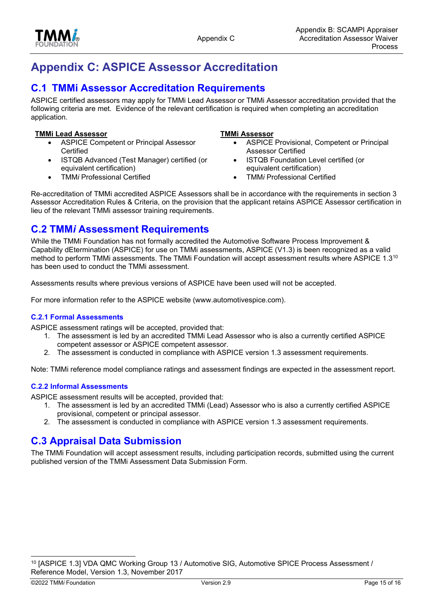



# Appendix C: ASPICE Assessor Accreditation

### C.1 TMMi Assessor Accreditation Requirements

ASPICE certified assessors may apply for TMMi Lead Assessor or TMMi Assessor accreditation provided that the following criteria are met. Evidence of the relevant certification is required when completing an accreditation application.

#### TMMi Lead Assessor TMMi Assessor

 ASPICE Competent or Principal Assessor **Certified** 

TMMi Professional Certified

 ISTQB Advanced (Test Manager) certified (or equivalent certification)

- ASPICE Provisional, Competent or Principal Assessor Certified
- ISTQB Foundation Level certified (or equivalent certification)
- TMMi Professional Certified

Re-accreditation of TMMi accredited ASPICE Assessors shall be in accordance with the requirements in section 3 Assessor Accreditation Rules & Criteria, on the provision that the applicant retains ASPICE Assessor certification in lieu of the relevant TMMi assessor training requirements.

#### C.2 TMMi Assessment Requirements

While the TMMi Foundation has not formally accredited the Automotive Software Process Improvement & Capability dEtermination (ASPICE) for use on TMMi assessments, ASPICE (V1.3) is been recognized as a valid method to perform TMMi assessments. The TMMi Foundation will accept assessment results where ASPICE 1.3<sup>10</sup> has been used to conduct the TMMi assessment.

Assessments results where previous versions of ASPICE have been used will not be accepted.

For more information refer to the ASPICE website (www.automotivespice.com).

#### C.2.1 Formal Assessments

ASPICE assessment ratings will be accepted, provided that:

- 1. The assessment is led by an accredited TMMi Lead Assessor who is also a currently certified ASPICE competent assessor or ASPICE competent assessor.
- 2. The assessment is conducted in compliance with ASPICE version 1.3 assessment requirements.

Note: TMMi reference model compliance ratings and assessment findings are expected in the assessment report.

#### C.2.2 Informal Assessments

ASPICE assessment results will be accepted, provided that:

- 1. The assessment is led by an accredited TMMi (Lead) Assessor who is also a currently certified ASPICE provisional, competent or principal assessor.
- 2. The assessment is conducted in compliance with ASPICE version 1.3 assessment requirements.

### C.3 Appraisal Data Submission

The TMMi Foundation will accept assessment results, including participation records, submitted using the current published version of the TMMi Assessment Data Submission Form.